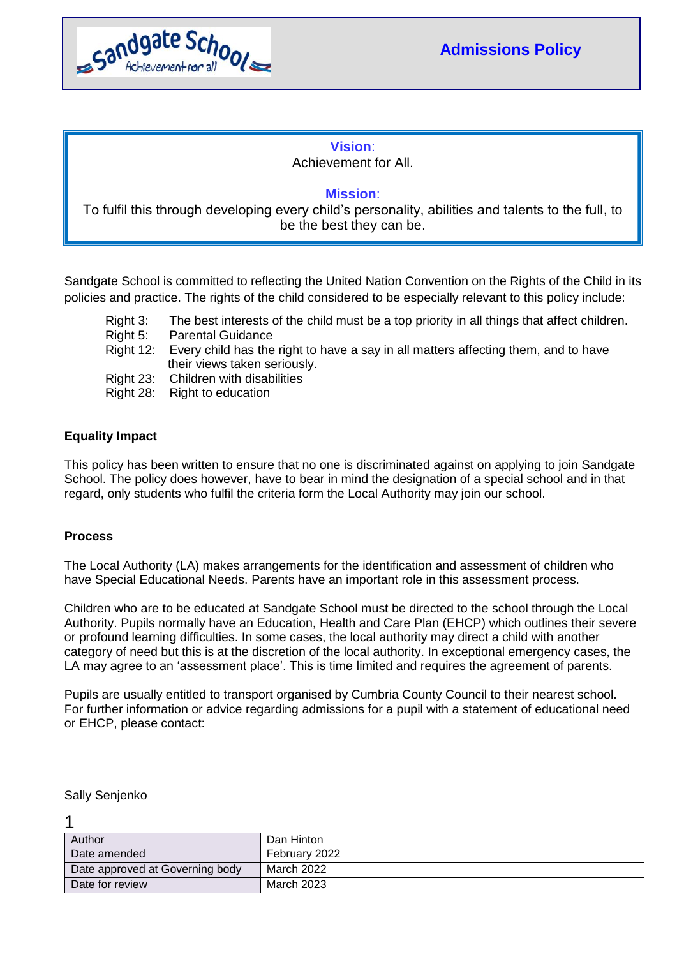

## **Vision**: Achievement for All.

## **Mission**:

To fulfil this through developing every child's personality, abilities and talents to the full, to be the best they can be.

Sandgate School is committed to reflecting the United Nation Convention on the Rights of the Child in its policies and practice. The rights of the child considered to be especially relevant to this policy include:

- Right 3: The best interests of the child must be a top priority in all things that affect children.
- Right 5: Parental Guidance
- Right 12: Every child has the right to have a say in all matters affecting them, and to have their views taken seriously.
- Right 23: Children with disabilities
- Right 28: Right to education

## **Equality Impact**

This policy has been written to ensure that no one is discriminated against on applying to join Sandgate School. The policy does however, have to bear in mind the designation of a special school and in that regard, only students who fulfil the criteria form the Local Authority may join our school.

## **Process**

The Local Authority (LA) makes arrangements for the identification and assessment of children who have Special Educational Needs. Parents have an important role in this assessment process.

Children who are to be educated at Sandgate School must be directed to the school through the Local Authority. Pupils normally have an Education, Health and Care Plan (EHCP) which outlines their severe or profound learning difficulties. In some cases, the local authority may direct a child with another category of need but this is at the discretion of the local authority. In exceptional emergency cases, the LA may agree to an 'assessment place'. This is time limited and requires the agreement of parents.

Pupils are usually entitled to transport organised by Cumbria County Council to their nearest school. For further information or advice regarding admissions for a pupil with a statement of educational need or EHCP, please contact:

Sally Senjenko

1

| Author                          | Dan Hinton    |
|---------------------------------|---------------|
| Date amended                    | February 2022 |
| Date approved at Governing body | March 2022    |
| Date for review                 | March 2023    |